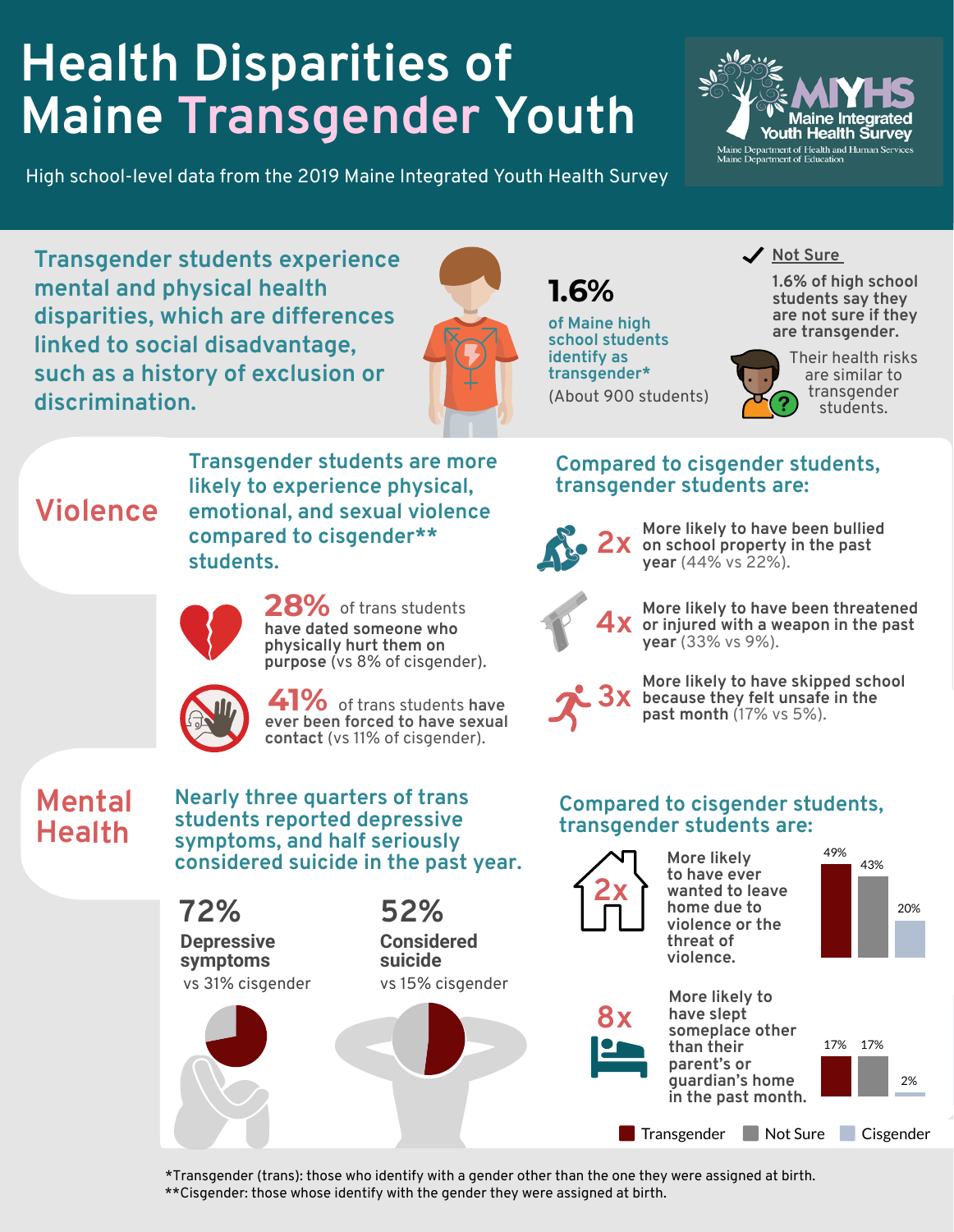## **Health Disparities of Maine Transgender Youth**

High school-level data from the 2019 Maine Integrated Youth Health Survey



**Transgender students experience mental and physical health disparities, which are differences linked to social disadvantage, such as a history of exclusion or discrimination.**



**1.6%**

**of Maine high school students identify as transgender\*** (About 900 students)



**1.6% of high school students say they are not sure if they are transgender.**



**More likely to have been bullied**

**More likely to have skipped school because they felt unsafe in the**

**More likely to have been threatened or injured with a weapon in the past 4x**

**on school property in the past 2x year** (44% vs 22%).

**Compared to cisgender students,**

**transgender students are:**

Their health risks are similar to transgender students.

## **Violence**

**likely to experience physical, emotional, and sexual violence compared to cisgender\*\* students.**

**Transgender students are more**



28% of trans students **have dated someone who physically hurt them on purpose** (vs 8% of cisgender).



41% of trans students have **ever been forced to have sexual contact** (vs 11% of cisgender).

## **Mental Health**

**students reported depressive symptoms, and half seriously**





**3x** because they felt unsafe<br>past month (17% vs 5%).

**year** (33% vs 9%).



\*Transgender (trans): those who identify with a gender other than the one they were assigned at birth.

\*\*Cisgender: those whose identify with the gender they were assigned at birth.